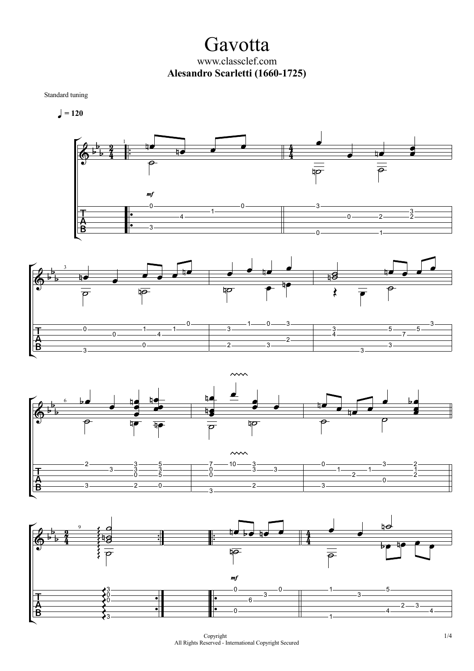Gavotta www.classclef.com **Alesandro Scarletti (1660-1725)**

Standard tuning

 $= 120$ 









Copyright 1/4 All Rights Reserved - International Copyright Secured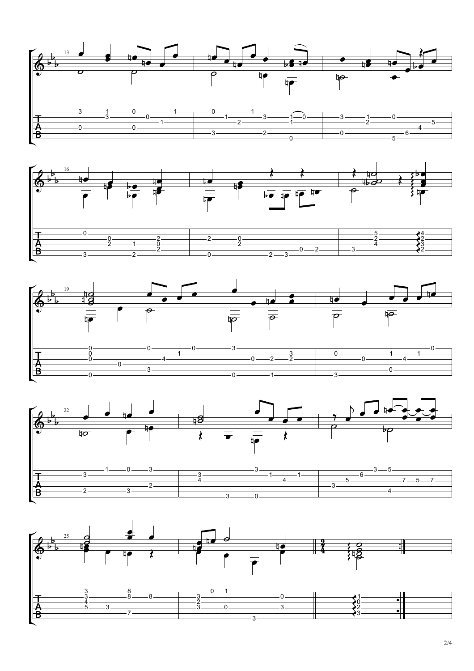







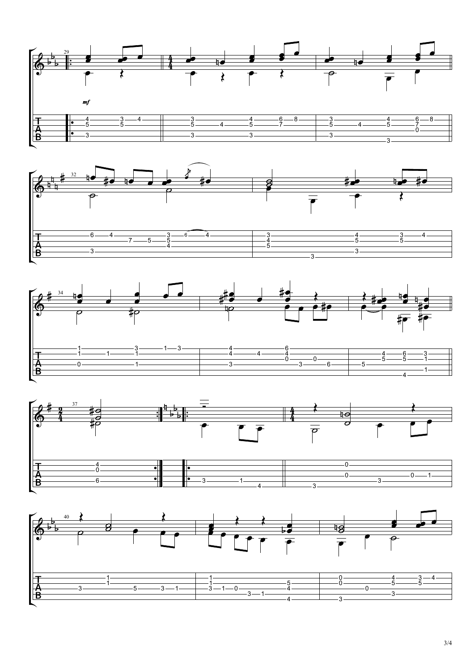